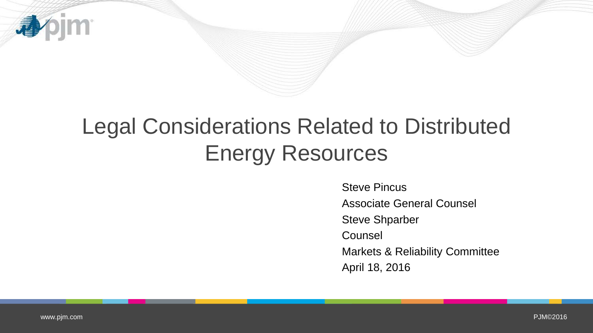

# Legal Considerations Related to Distributed Energy Resources

Steve Pincus Associate General Counsel Steve Shparber Counsel Markets & Reliability Committee April 18, 2016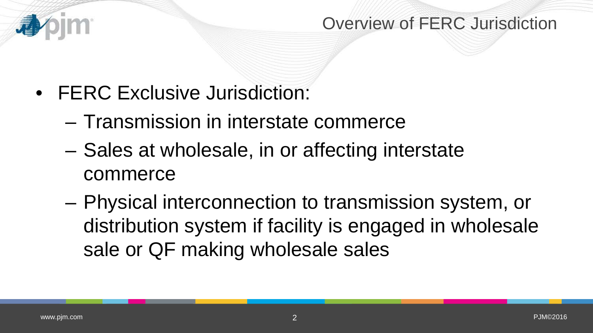

- FERC Exclusive Jurisdiction:
	- Transmission in interstate commerce
	- Sales at wholesale, in or affecting interstate commerce
	- Physical interconnection to transmission system, or distribution system if facility is engaged in wholesale sale or QF making wholesale sales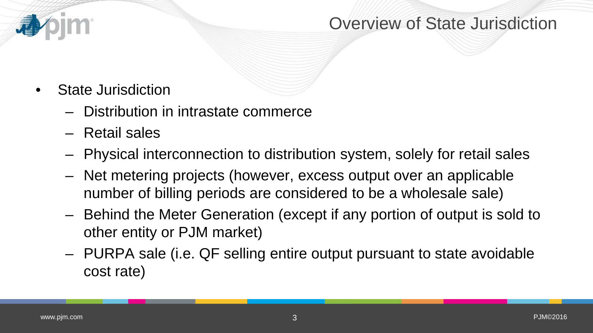#### Overview of State Jurisdiction

- State Jurisdiction
	- Distribution in intrastate commerce
	- Retail sales
	- Physical interconnection to distribution system, solely for retail sales
	- Net metering projects (however, excess output over an applicable number of billing periods are considered to be a wholesale sale)
	- Behind the Meter Generation (except if any portion of output is sold to other entity or PJM market)
	- PURPA sale (i.e. QF selling entire output pursuant to state avoidable cost rate)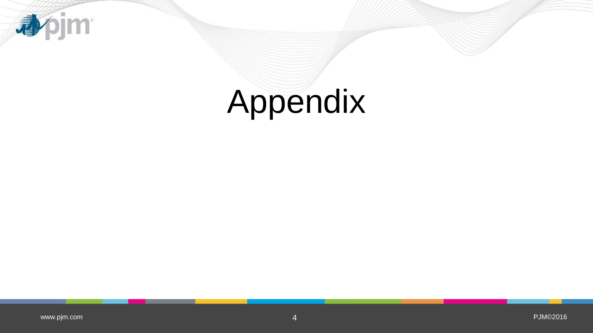

# Appendix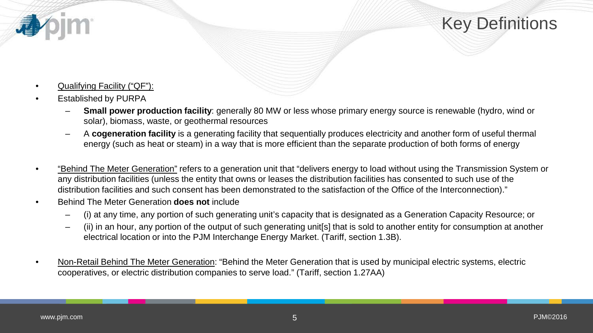

- Qualifying Facility ("QF"):
- Established by PURPA
	- **Small power production facility**: generally 80 MW or less whose primary energy source is renewable (hydro, wind or solar), biomass, waste, or geothermal resources
	- A **cogeneration facility** is a generating facility that sequentially produces electricity and another form of useful thermal energy (such as heat or steam) in a way that is more efficient than the separate production of both forms of energy
- "Behind The Meter Generation" refers to a generation unit that "delivers energy to load without using the Transmission System or any distribution facilities (unless the entity that owns or leases the distribution facilities has consented to such use of the distribution facilities and such consent has been demonstrated to the satisfaction of the Office of the Interconnection)."
- Behind The Meter Generation **does not** include
	- (i) at any time, any portion of such generating unit's capacity that is designated as a Generation Capacity Resource; or
	- (ii) in an hour, any portion of the output of such generating unit[s] that is sold to another entity for consumption at another electrical location or into the PJM Interchange Energy Market. (Tariff, section 1.3B).
- Non-Retail Behind The Meter Generation: "Behind the Meter Generation that is used by municipal electric systems, electric cooperatives, or electric distribution companies to serve load." (Tariff, section 1.27AA)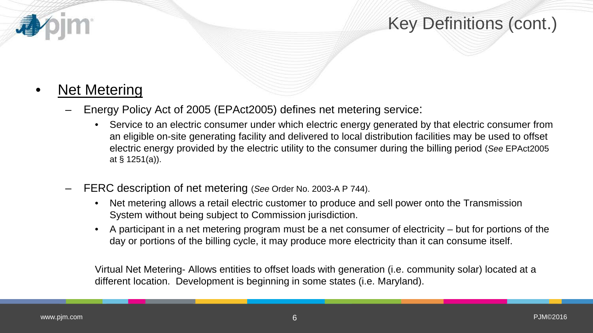# Key Definitions (cont.)

#### **Net Metering**

- Energy Policy Act of 2005 (EPAct2005) defines net metering service:
	- Service to an electric consumer under which electric energy generated by that electric consumer from an eligible on-site generating facility and delivered to local distribution facilities may be used to offset electric energy provided by the electric utility to the consumer during the billing period (*See* EPAct2005 at § 1251(a)).
- FERC description of net metering (*See* Order No. 2003-A P 744).
	- Net metering allows a retail electric customer to produce and sell power onto the Transmission System without being subject to Commission jurisdiction.
	- A participant in a net metering program must be a net consumer of electricity but for portions of the day or portions of the billing cycle, it may produce more electricity than it can consume itself.

Virtual Net Metering- Allows entities to offset loads with generation (i.e. community solar) located at a different location. Development is beginning in some states (i.e. Maryland).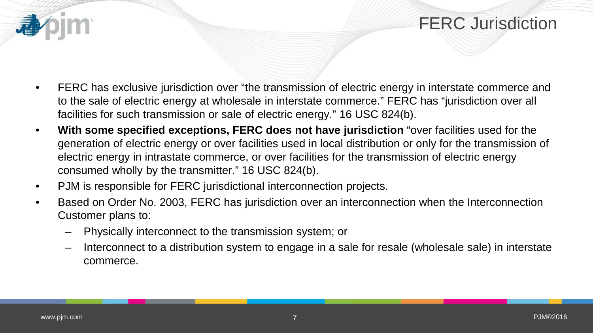## **FERC Jurisdiction**

- FERC has exclusive jurisdiction over "the transmission of electric energy in interstate commerce and to the sale of electric energy at wholesale in interstate commerce." FERC has "jurisdiction over all facilities for such transmission or sale of electric energy." 16 USC 824(b).
- **With some specified exceptions, FERC does not have jurisdiction** "over facilities used for the generation of electric energy or over facilities used in local distribution or only for the transmission of electric energy in intrastate commerce, or over facilities for the transmission of electric energy consumed wholly by the transmitter." 16 USC 824(b).
- PJM is responsible for FERC jurisdictional interconnection projects.
- Based on Order No. 2003, FERC has jurisdiction over an interconnection when the Interconnection Customer plans to:
	- Physically interconnect to the transmission system; or
	- Interconnect to a distribution system to engage in a sale for resale (wholesale sale) in interstate commerce.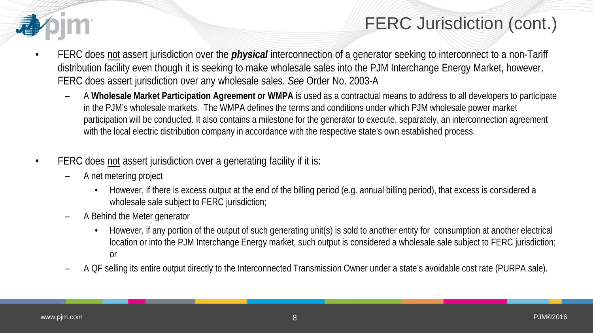

# FERC Jurisdiction (cont.)

- FERC does not assert jurisdiction over the *physical* interconnection of a generator seeking to interconnect to a non-Tariff distribution facility even though it is seeking to make wholesale sales into the PJM Interchange Energy Market, however, FERC does assert jurisdiction over any wholesale sales. *See* Order No. 2003-A
	- A **Wholesale Market Participation Agreement or WMPA** is used as a contractual means to address to all developers to participate in the PJM's wholesale markets. The WMPA defines the terms and conditions under which PJM wholesale power market participation will be conducted. It also contains a milestone for the generator to execute, separately, an interconnection agreement with the local electric distribution company in accordance with the respective state's own established process.
- FERC does not assert jurisdiction over a generating facility if it is:
	- A net metering project
		- However, if there is excess output at the end of the billing period (e.g. annual billing period), that excess is considered a wholesale sale subject to FERC jurisdiction;
	- A Behind the Meter generator
		- However, if any portion of the output of such generating unit(s) is sold to another entity for consumption at another electrical location or into the PJM Interchange Energy market, such output is considered a wholesale sale subject to FERC jurisdiction; or
	- A QF selling its entire output directly to the Interconnected Transmission Owner under a state's avoidable cost rate (PURPA sale).